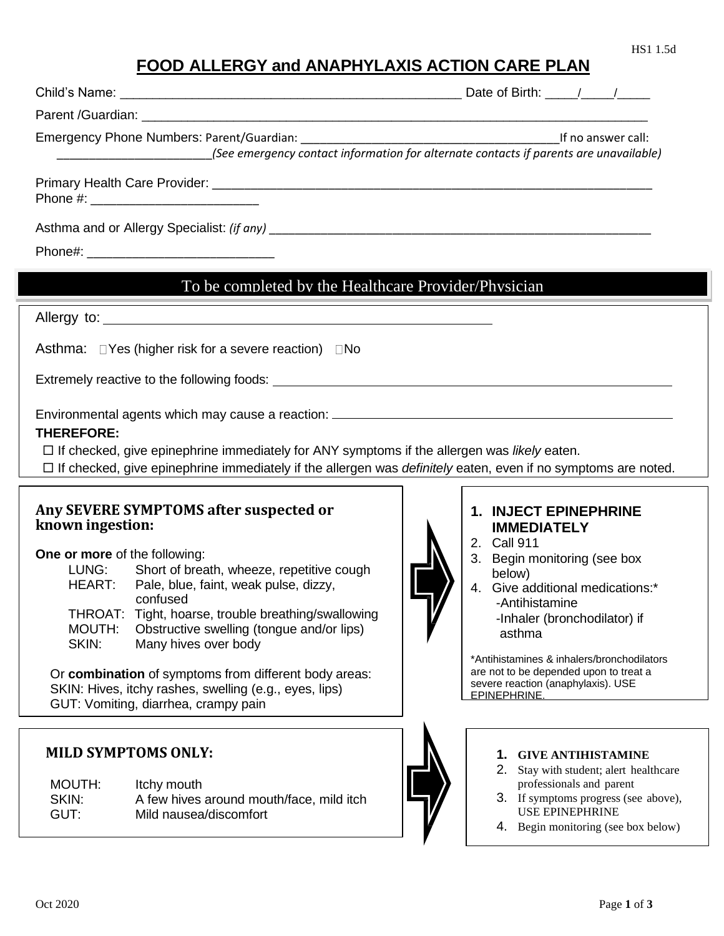# **FOOD ALLERGY and ANAPHYLAXIS ACTION CARE PLAN**

|                                                                                                                                                                                                                                | Date of Birth: / / |
|--------------------------------------------------------------------------------------------------------------------------------------------------------------------------------------------------------------------------------|--------------------|
|                                                                                                                                                                                                                                |                    |
| (See emergency contact information for alternate contacts if parents are unavailable)                                                                                                                                          | If no answer call: |
|                                                                                                                                                                                                                                |                    |
| Asthma and or Allergy Specialist: (if any) example and the state of the state of the state of the state of the state of the state of the state of the state of the state of the state of the state of the state of the state o |                    |
|                                                                                                                                                                                                                                |                    |

# To be completed by the Healthcare Provider/Physician

Allergy to: **Allergy** to:

Asthma:  $\Box$  Yes (higher risk for a severe reaction)  $\Box$  No

Extremely reactive to the following foods:

Environmental agents which may cause a reaction: \_\_\_\_\_\_\_\_\_\_\_\_\_\_\_\_\_\_\_\_\_\_\_\_\_\_\_\_\_\_\_\_

### **THEREFORE:**

If checked, give epinephrine immediately for ANY symptoms if the allergen was *likely* eaten.

If checked, give epinephrine immediately if the allergen was *definitely* eaten, even if no symptoms are noted.

### **Any SEVERE SYMPTOMS after suspected or known ingestion:**

**One or more** of the following:

| LUNG:  | Short of breath, wheeze, repetitive cough           |
|--------|-----------------------------------------------------|
| HEART: | Pale, blue, faint, weak pulse, dizzy,               |
|        | confused                                            |
|        | THROAT: Tight, hoarse, trouble breathing/swallowing |
| MOUTH: | Obstructive swelling (tongue and/or lips)           |
| SKIN:  | Many hives over body                                |

Or **combination** of symptoms from different body areas: SKIN: Hives, itchy rashes, swelling (e.g., eyes, lips) GUT: Vomiting, diarrhea, crampy pain

## **MILD SYMPTOMS ONLY:**

| MOUTH: | Itchy mouth                              |
|--------|------------------------------------------|
| SKIN:  | A few hives around mouth/face, mild itch |
| GUT:   | Mild nausea/discomfort                   |



## **1. INJECT EPINEPHRINE IMMEDIATELY**

- 2. Call 911
- 3. Begin monitoring (see box below)
- 4. Give additional medications:\* -Antihistamine -Inhaler (bronchodilator) if
	- asthma

\*Antihistamines & inhalers/bronchodilators are not to be depended upon to treat a severe reaction (anaphylaxis). USE EPINEPHRINE.



#### **1. GIVE ANTIHISTAMINE**

- 2. Stay with student; alert healthcare professionals and parent
- 3. If symptoms progress (see above), USE EPINEPHRINE
- 4. Begin monitoring (see box below)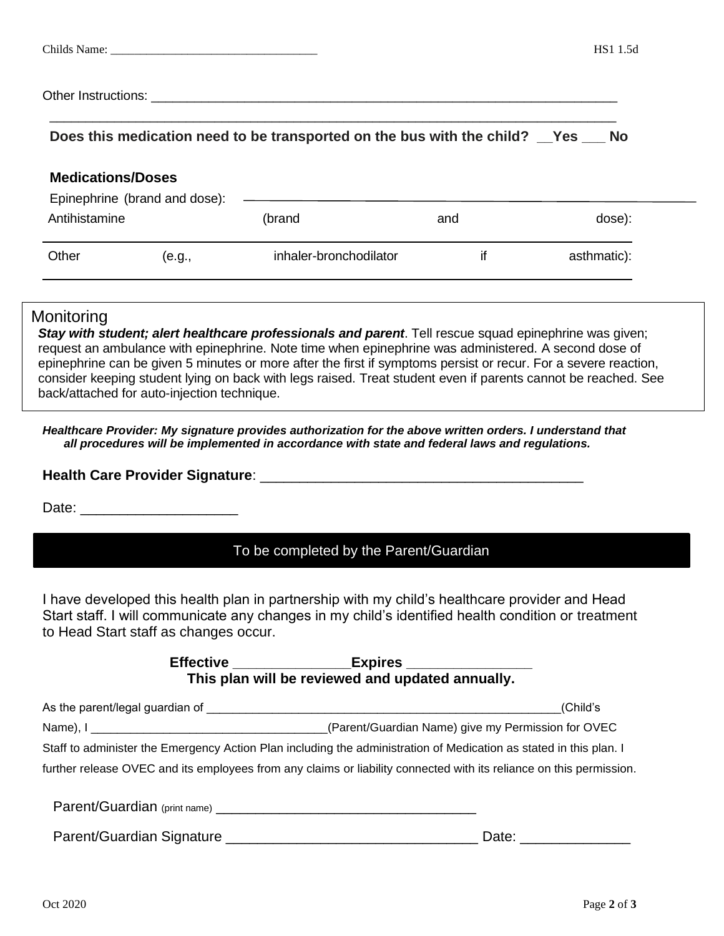| Childs Name:<br>$\sim$ $\sim$ $\sim$ | LI C 1<br>$\ldots$<br>пэт |
|--------------------------------------|---------------------------|
|                                      |                           |

Other Instructions:

## **Does this medication need to be transported on the bus with the child? \_\_Yes \_\_\_ No**

\_\_\_\_\_\_\_\_\_\_\_\_\_\_\_\_\_\_\_\_\_\_\_\_\_\_\_\_\_\_\_\_\_\_\_\_\_\_\_\_\_\_\_\_\_\_\_\_\_\_\_\_\_\_\_\_\_\_\_\_\_\_\_\_\_\_\_\_\_\_\_\_\_\_\_\_\_\_\_

### **Medications/Doses**

| (brand<br>dose):<br>and<br>inhaler-bronchodilator<br>asthmatic):<br>(e.g., | Epinephrine (brand and dose): |  |  |
|----------------------------------------------------------------------------|-------------------------------|--|--|
|                                                                            | Antihistamine                 |  |  |
|                                                                            | Other                         |  |  |

### Monitoring

*Stay with student; alert healthcare professionals and parent*. Tell rescue squad epinephrine was given; request an ambulance with epinephrine. Note time when epinephrine was administered. A second dose of epinephrine can be given 5 minutes or more after the first if symptoms persist or recur. For a severe reaction, consider keeping student lying on back with legs raised. Treat student even if parents cannot be reached. See back/attached for auto-injection technique.

*Healthcare Provider: My signature provides authorization for the above written orders. I understand that all procedures will be implemented in accordance with state and federal laws and regulations.* 

#### **Health Care Provider Signature**: \_\_\_\_\_\_\_\_\_\_\_\_\_\_\_\_\_\_\_\_\_\_\_\_\_\_\_\_\_\_\_\_\_\_\_\_\_\_\_\_\_

Date:

## To be completed by the Parent/Guardian

I have developed this health plan in partnership with my child's healthcare provider and Head Start staff. I will communicate any changes in my child's identified health condition or treatment to Head Start staff as changes occur.

## **Effective \_\_\_\_\_\_\_\_\_\_\_\_\_\_\_Expires \_\_\_\_\_\_\_\_\_\_\_\_\_\_\_\_ This plan will be reviewed and updated annually.**

| As the parent/legal guardian of | (Child's                                                                                                            |
|---------------------------------|---------------------------------------------------------------------------------------------------------------------|
|                                 | (Parent/Guardian Name) give my Permission for OVEC                                                                  |
|                                 | Staff to administer the Emergency Action Plan including the administration of Medication as stated in this plan. I  |
|                                 | further release OVEC and its employees from any claims or liability connected with its reliance on this permission. |
|                                 |                                                                                                                     |
| Parent/Guardian Signature       | Date:                                                                                                               |